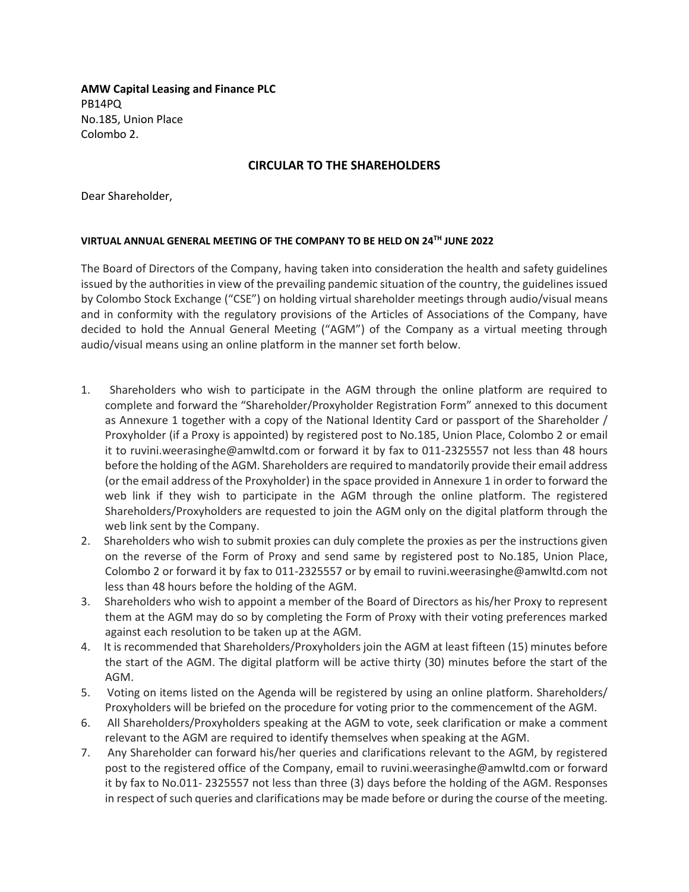**AMW Capital Leasing and Finance PLC** PB14PQ No.185, Union Place Colombo 2.

### **CIRCULAR TO THE SHAREHOLDERS**

Dear Shareholder,

### **VIRTUAL ANNUAL GENERAL MEETING OF THE COMPANY TO BE HELD ON 24TH JUNE 2022**

The Board of Directors of the Company, having taken into consideration the health and safety guidelines issued by the authorities in view of the prevailing pandemic situation of the country, the guidelines issued by Colombo Stock Exchange ("CSE") on holding virtual shareholder meetings through audio/visual means and in conformity with the regulatory provisions of the Articles of Associations of the Company, have decided to hold the Annual General Meeting ("AGM") of the Company as a virtual meeting through audio/visual means using an online platform in the manner set forth below.

- 1. Shareholders who wish to participate in the AGM through the online platform are required to complete and forward the "Shareholder/Proxyholder Registration Form" annexed to this document as Annexure 1 together with a copy of the National Identity Card or passport of the Shareholder / Proxyholder (if a Proxy is appointed) by registered post to No.185, Union Place, Colombo 2 or email it to ruvini.weerasinghe@amwltd.com or forward it by fax to 011-2325557 not less than 48 hours before the holding of the AGM. Shareholders are required to mandatorily provide their email address (or the email address of the Proxyholder) in the space provided in Annexure 1 in order to forward the web link if they wish to participate in the AGM through the online platform. The registered Shareholders/Proxyholders are requested to join the AGM only on the digital platform through the web link sent by the Company.
- 2. Shareholders who wish to submit proxies can duly complete the proxies as per the instructions given on the reverse of the Form of Proxy and send same by registered post to No.185, Union Place, Colombo 2 or forward it by fax to 011-2325557 or by email to ruvini.weerasinghe@amwltd.com not less than 48 hours before the holding of the AGM.
- 3. Shareholders who wish to appoint a member of the Board of Directors as his/her Proxy to represent them at the AGM may do so by completing the Form of Proxy with their voting preferences marked against each resolution to be taken up at the AGM.
- 4. It is recommended that Shareholders/Proxyholders join the AGM at least fifteen (15) minutes before the start of the AGM. The digital platform will be active thirty (30) minutes before the start of the AGM.
- 5. Voting on items listed on the Agenda will be registered by using an online platform. Shareholders/ Proxyholders will be briefed on the procedure for voting prior to the commencement of the AGM.
- 6. All Shareholders/Proxyholders speaking at the AGM to vote, seek clarification or make a comment relevant to the AGM are required to identify themselves when speaking at the AGM.
- 7. Any Shareholder can forward his/her queries and clarifications relevant to the AGM, by registered post to the registered office of the Company, email to ruvini.weerasinghe@amwltd.com or forward it by fax to No.011- 2325557 not less than three (3) days before the holding of the AGM. Responses in respect of such queries and clarifications may be made before or during the course of the meeting.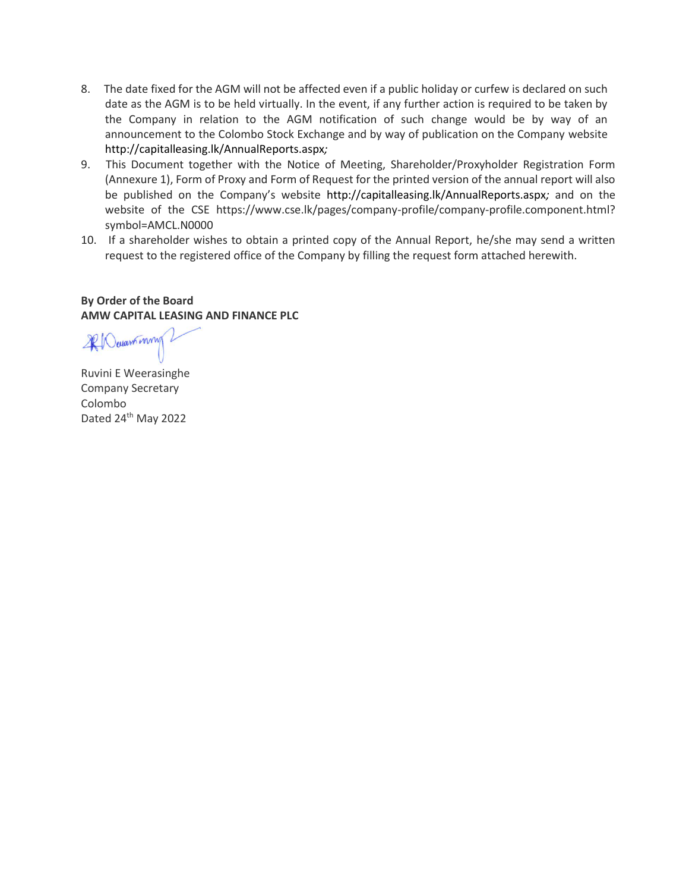- 8. The date fixed for the AGM will not be affected even if a public holiday or curfew is declared on such date as the AGM is to be held virtually. In the event, if any further action is required to be taken by the Company in relation to the AGM notification of such change would be by way of an announcement to the Colombo Stock Exchange and by way of publication on the Company website <http://capitalleasing.lk/AnnualReports.aspx>*;*
- 9. This Document together with the Notice of Meeting, Shareholder/Proxyholder Registration Form (Annexure 1), Form of Proxy and Form of Request for the printed version of the annual report will also be published on the Company's website <http://capitalleasing.lk/AnnualReports.aspx>*;* and on the website of the CSE https://www.cse.lk/pages/company-profile/company-profile.component.html? symbol=AMCL.N0000
- 10. If a shareholder wishes to obtain a printed copy of the Annual Report, he/she may send a written request to the registered office of the Company by filling the request form attached herewith.

## **By Order of the Board AMW CAPITAL LEASING AND FINANCE PLC**

ROwant mm

Ruvini E Weerasinghe Company Secretary Colombo Dated 24<sup>th</sup> May 2022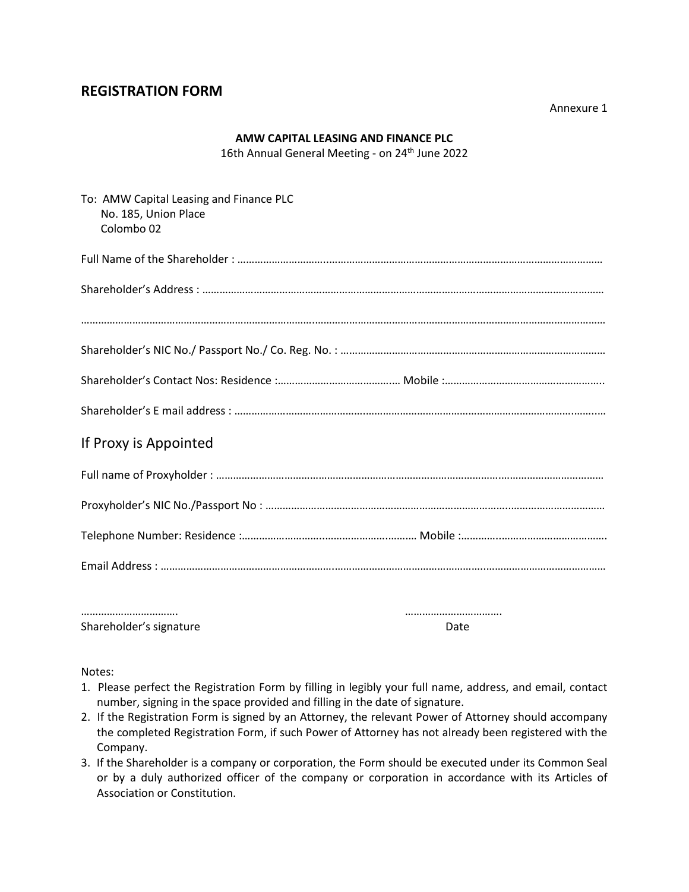# **REGISTRATION FORM**

Annexure 1

### **AMW CAPITAL LEASING AND FINANCE PLC**

16th Annual General Meeting - on 24<sup>th</sup> June 2022

| To: AMW Capital Leasing and Finance PLC<br>No. 185, Union Place<br>Colombo <sub>02</sub> |  |
|------------------------------------------------------------------------------------------|--|
|                                                                                          |  |
|                                                                                          |  |
|                                                                                          |  |
|                                                                                          |  |
|                                                                                          |  |
|                                                                                          |  |
| If Proxy is Appointed                                                                    |  |
|                                                                                          |  |
|                                                                                          |  |
|                                                                                          |  |
|                                                                                          |  |
|                                                                                          |  |
|                                                                                          |  |

Shareholder's signature development of the Date of Date Date

Notes:

- 1. Please perfect the Registration Form by filling in legibly your full name, address, and email, contact number, signing in the space provided and filling in the date of signature.
- 2. If the Registration Form is signed by an Attorney, the relevant Power of Attorney should accompany the completed Registration Form, if such Power of Attorney has not already been registered with the Company.
- 3. If the Shareholder is a company or corporation, the Form should be executed under its Common Seal or by a duly authorized officer of the company or corporation in accordance with its Articles of Association or Constitution.